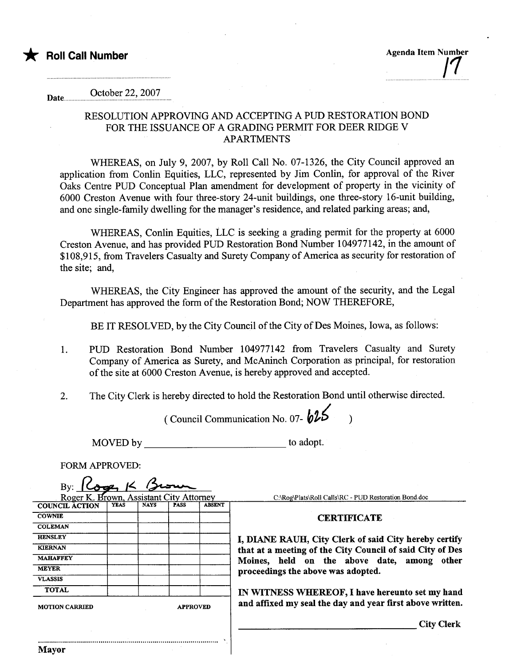

\* Roll Call Number Agenda Item Number Agenda Item Number /1

## Date......... October 22, 2007

## RESOLUTION APPROVING AND ACCEPTING A PUD RESTORATION BOND FOR THE ISSUANCE OF A GRADING PERMIT FOR DEER RIDGE V APARTMENTS

WHEREAS, on July 9, 2007, by Roll Call No. 07-1326, the City Council approved an application from Conlin Equities, LLC, represented by Jim Conlin, for approval of the River Oaks Centre PUD Conceptual Plan amendment for development of property in the vicinity of 6000 Creston Avenue with four three-story 24-unit buildings, one three-story 16-unit building, and one single-family dwelling for the manager's residence, and related parking areas; and,

WHEREAS, Conlin Equities, LLC is seeking a grading permit for the property at 6000 Creston Avenue, and has provided PUD Restoration Bond Number 104977142, in the amount of \$108,915, from Travelers Casualty and Surety Company of America as security for restoration of the site; and,

WHEREAS, the City Engineer has approved the amount of the security, and the Legal Deparment has approved the form of the Restoration Bond; NOW THEREFORE,

BE IT RESOLVED, by the City Council of the City of Des Moines, Iowa, as follows:

- 1. PUD Restoration Bond Number 104977142 from Travelers Casualty and Surety Company of America as Surety, and McAninch Corporation as principal, for restoration of the site at 6000 Creston Avenue, is hereby approved and accepted.
- 2. The City Clerk is hereby directed to hold the Restoration Bond until otherwise directed.

(Council Communication No. 07- $625$ )

MOVED by to adopt.

FORM APPROVED:

| By:                                     |                 |             |             |               |                                                                                                                                                                                                                                  |
|-----------------------------------------|-----------------|-------------|-------------|---------------|----------------------------------------------------------------------------------------------------------------------------------------------------------------------------------------------------------------------------------|
| Roger K. Brown, Assistant City Attorney |                 |             |             |               | C:\Rog\Plats\Roll Calls\RC - PUD Restoration Bond.doc                                                                                                                                                                            |
| <b>COUNCIL ACTION</b>                   | YEAS            | <b>NAYS</b> | <b>PASS</b> | <b>ABSENT</b> |                                                                                                                                                                                                                                  |
| <b>COWNIE</b>                           |                 |             |             |               | <b>CERTIFICATE</b><br>I, DIANE RAUH, City Clerk of said City hereby certify<br>that at a meeting of the City Council of said City of Des<br>Moines, held on the above date, among<br>other<br>proceedings the above was adopted. |
| <b>COLEMAN</b>                          |                 |             |             |               |                                                                                                                                                                                                                                  |
| <b>HENSLEY</b>                          |                 |             |             |               |                                                                                                                                                                                                                                  |
| <b>KIERNAN</b>                          |                 |             |             |               |                                                                                                                                                                                                                                  |
| <b>MAHAFFEY</b>                         |                 |             |             |               |                                                                                                                                                                                                                                  |
| <b>MEYER</b>                            |                 |             |             |               |                                                                                                                                                                                                                                  |
| <b>VLASSIS</b>                          |                 |             |             |               |                                                                                                                                                                                                                                  |
| <b>TOTAL</b>                            |                 |             |             |               | IN WITNESS WHEREOF, I have hereunto set my hand                                                                                                                                                                                  |
| <b>MOTION CARRIED</b>                   | <b>APPROVED</b> |             |             |               | and affixed my seal the day and year first above written.                                                                                                                                                                        |
|                                         |                 |             |             |               | <b>City Clerk</b>                                                                                                                                                                                                                |
| <b>Mayor</b>                            |                 |             |             |               |                                                                                                                                                                                                                                  |